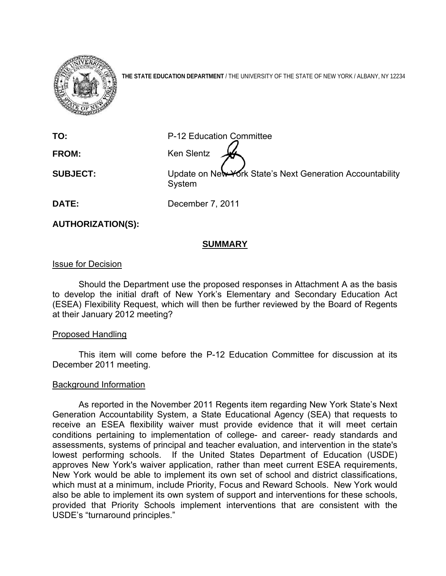

**THE STATE EDUCATION DEPARTMENT** / THE UNIVERSITY OF THE STATE OF NEW YORK / ALBANY, NY 12234

**TO:** P-12 Education Committee

**FROM:** Ken Slentz

**SUBJECT:** Update on New York State's Next Generation Accountability System

**DATE:** December 7, 2011

**AUTHORIZATION(S):** 

# **SUMMARY**

## Issue for Decision

Should the Department use the proposed responses in Attachment A as the basis to develop the initial draft of New York's Elementary and Secondary Education Act (ESEA) Flexibility Request, which will then be further reviewed by the Board of Regents at their January 2012 meeting?

## Proposed Handling

This item will come before the P-12 Education Committee for discussion at its December 2011 meeting.

## Background Information

As reported in the November 2011 Regents item regarding New York State's Next Generation Accountability System, a State Educational Agency (SEA) that requests to receive an ESEA flexibility waiver must provide evidence that it will meet certain conditions pertaining to implementation of college- and career- ready standards and assessments, systems of principal and teacher evaluation, and intervention in the state's lowest performing schools. If the United States Department of Education (USDE) approves New York's waiver application, rather than meet current ESEA requirements, New York would be able to implement its own set of school and district classifications, which must at a minimum, include Priority, Focus and Reward Schools. New York would also be able to implement its own system of support and interventions for these schools, provided that Priority Schools implement interventions that are consistent with the USDE's "turnaround principles."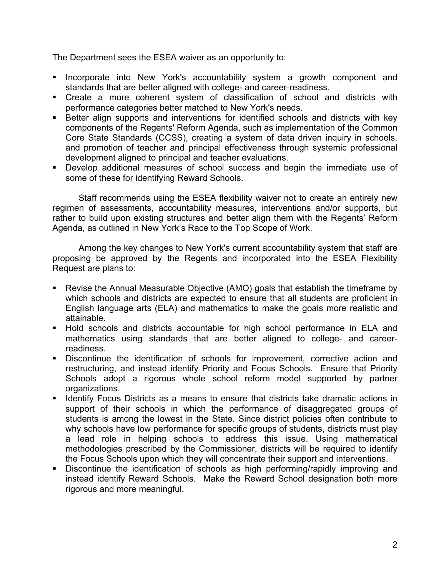The Department sees the ESEA waiver as an opportunity to:

- **Incorporate into New York's accountability system a growth component and** standards that are better aligned with college- and career-readiness.
- Create a more coherent system of classification of school and districts with performance categories better matched to New York's needs.
- Better align supports and interventions for identified schools and districts with key components of the Regents' Reform Agenda, such as implementation of the Common Core State Standards (CCSS), creating a system of data driven inquiry in schools, and promotion of teacher and principal effectiveness through systemic professional development aligned to principal and teacher evaluations.
- Develop additional measures of school success and begin the immediate use of some of these for identifying Reward Schools.

Staff recommends using the ESEA flexibility waiver not to create an entirely new regimen of assessments, accountability measures, interventions and/or supports, but rather to build upon existing structures and better align them with the Regents' Reform Agenda, as outlined in New York's Race to the Top Scope of Work.

Among the key changes to New York's current accountability system that staff are proposing be approved by the Regents and incorporated into the ESEA Flexibility Request are plans to:

- Revise the Annual Measurable Objective (AMO) goals that establish the timeframe by which schools and districts are expected to ensure that all students are proficient in English language arts (ELA) and mathematics to make the goals more realistic and attainable.
- Hold schools and districts accountable for high school performance in ELA and mathematics using standards that are better aligned to college- and careerreadiness.
- Discontinue the identification of schools for improvement, corrective action and restructuring, and instead identify Priority and Focus Schools. Ensure that Priority Schools adopt a rigorous whole school reform model supported by partner organizations.
- Identify Focus Districts as a means to ensure that districts take dramatic actions in support of their schools in which the performance of disaggregated groups of students is among the lowest in the State. Since district policies often contribute to why schools have low performance for specific groups of students, districts must play a lead role in helping schools to address this issue. Using mathematical methodologies prescribed by the Commissioner, districts will be required to identify the Focus Schools upon which they will concentrate their support and interventions.
- Discontinue the identification of schools as high performing/rapidly improving and instead identify Reward Schools. Make the Reward School designation both more rigorous and more meaningful.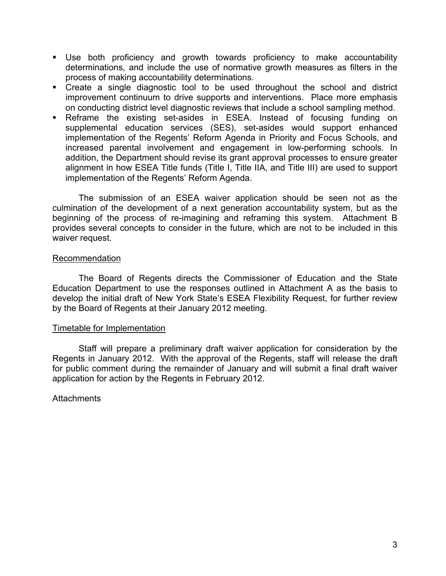- Use both proficiency and growth towards proficiency to make accountability determinations, and include the use of normative growth measures as filters in the process of making accountability determinations.
- Create a single diagnostic tool to be used throughout the school and district improvement continuum to drive supports and interventions. Place more emphasis on conducting district level diagnostic reviews that include a school sampling method.
- Reframe the existing set-asides in ESEA. Instead of focusing funding on supplemental education services (SES), set-asides would support enhanced implementation of the Regents' Reform Agenda in Priority and Focus Schools, and increased parental involvement and engagement in low-performing schools. In addition, the Department should revise its grant approval processes to ensure greater alignment in how ESEA Title funds (Title I, Title IIA, and Title III) are used to support implementation of the Regents' Reform Agenda.

The submission of an ESEA waiver application should be seen not as the culmination of the development of a next generation accountability system, but as the beginning of the process of re-imagining and reframing this system. Attachment B provides several concepts to consider in the future, which are not to be included in this waiver request.

### Recommendation

 The Board of Regents directs the Commissioner of Education and the State Education Department to use the responses outlined in Attachment A as the basis to develop the initial draft of New York State's ESEA Flexibility Request, for further review by the Board of Regents at their January 2012 meeting.

### Timetable for Implementation

Staff will prepare a preliminary draft waiver application for consideration by the Regents in January 2012. With the approval of the Regents, staff will release the draft for public comment during the remainder of January and will submit a final draft waiver application for action by the Regents in February 2012.

### **Attachments**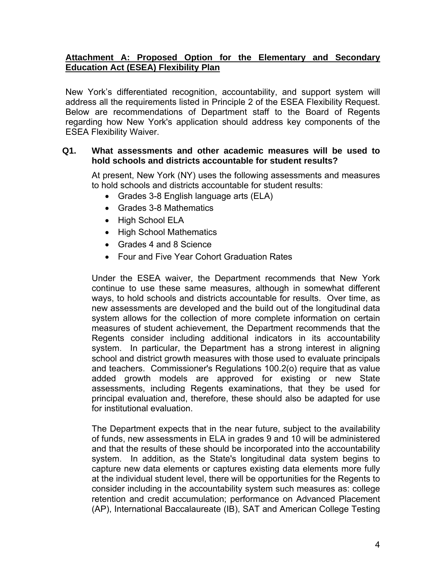# **Attachment A: Proposed Option for the Elementary and Secondary Education Act (ESEA) Flexibility Plan**

New York's differentiated recognition, accountability, and support system will address all the requirements listed in Principle 2 of the ESEA Flexibility Request. Below are recommendations of Department staff to the Board of Regents regarding how New York's application should address key components of the ESEA Flexibility Waiver.

## **Q1. What assessments and other academic measures will be used to hold schools and districts accountable for student results?**

At present, New York (NY) uses the following assessments and measures to hold schools and districts accountable for student results:

- Grades 3-8 English language arts (ELA)
- Grades 3-8 Mathematics
- High School ELA
- High School Mathematics
- Grades 4 and 8 Science
- Four and Five Year Cohort Graduation Rates

Under the ESEA waiver, the Department recommends that New York continue to use these same measures, although in somewhat different ways, to hold schools and districts accountable for results. Over time, as new assessments are developed and the build out of the longitudinal data system allows for the collection of more complete information on certain measures of student achievement, the Department recommends that the Regents consider including additional indicators in its accountability system. In particular, the Department has a strong interest in aligning school and district growth measures with those used to evaluate principals and teachers. Commissioner's Regulations 100.2(o) require that as value added growth models are approved for existing or new State assessments, including Regents examinations, that they be used for principal evaluation and, therefore, these should also be adapted for use for institutional evaluation.

The Department expects that in the near future, subject to the availability of funds, new assessments in ELA in grades 9 and 10 will be administered and that the results of these should be incorporated into the accountability system. In addition, as the State's longitudinal data system begins to capture new data elements or captures existing data elements more fully at the individual student level, there will be opportunities for the Regents to consider including in the accountability system such measures as: college retention and credit accumulation; performance on Advanced Placement (AP), International Baccalaureate (IB), SAT and American College Testing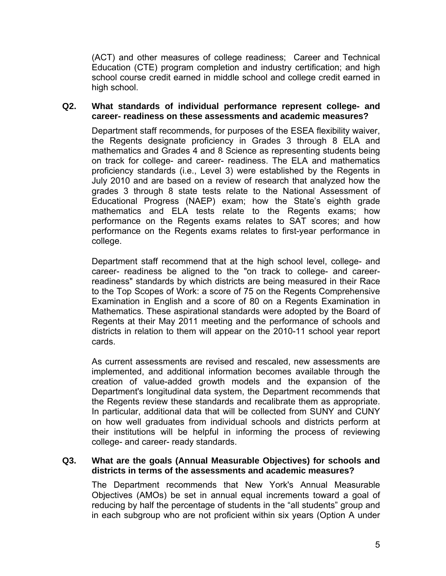(ACT) and other measures of college readiness; Career and Technical Education (CTE) program completion and industry certification; and high school course credit earned in middle school and college credit earned in high school.

### **Q2. What standards of individual performance represent college- and career- readiness on these assessments and academic measures?**

Department staff recommends, for purposes of the ESEA flexibility waiver, the Regents designate proficiency in Grades 3 through 8 ELA and mathematics and Grades 4 and 8 Science as representing students being on track for college- and career- readiness. The ELA and mathematics proficiency standards (i.e., Level 3) were established by the Regents in July 2010 and are based on a review of research that analyzed how the grades 3 through 8 state tests relate to the National Assessment of Educational Progress (NAEP) exam; how the State's eighth grade mathematics and ELA tests relate to the Regents exams; how performance on the Regents exams relates to SAT scores; and how performance on the Regents exams relates to first-year performance in college.

Department staff recommend that at the high school level, college- and career- readiness be aligned to the "on track to college- and careerreadiness" standards by which districts are being measured in their Race to the Top Scopes of Work: a score of 75 on the Regents Comprehensive Examination in English and a score of 80 on a Regents Examination in Mathematics. These aspirational standards were adopted by the Board of Regents at their May 2011 meeting and the performance of schools and districts in relation to them will appear on the 2010-11 school year report cards.

As current assessments are revised and rescaled, new assessments are implemented, and additional information becomes available through the creation of value-added growth models and the expansion of the Department's longitudinal data system, the Department recommends that the Regents review these standards and recalibrate them as appropriate. In particular, additional data that will be collected from SUNY and CUNY on how well graduates from individual schools and districts perform at their institutions will be helpful in informing the process of reviewing college- and career- ready standards.

### **Q3. What are the goals (Annual Measurable Objectives) for schools and districts in terms of the assessments and academic measures?**

The Department recommends that New York's Annual Measurable Objectives (AMOs) be set in annual equal increments toward a goal of reducing by half the percentage of students in the "all students" group and in each subgroup who are not proficient within six years (Option A under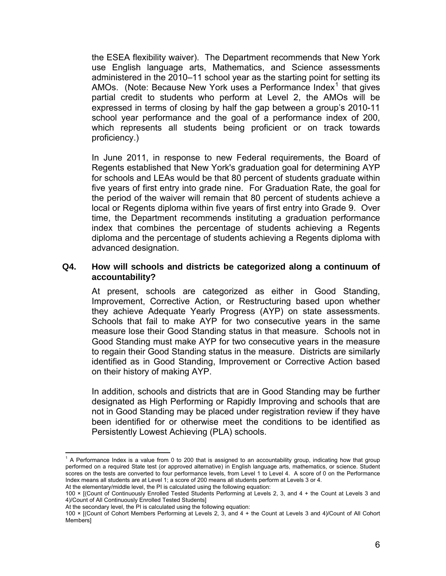the ESEA flexibility waiver). The Department recommends that New York use English language arts, Mathematics, and Science assessments administered in the 2010–11 school year as the starting point for setting its AMOs. (Note: Because New York uses a Performance Index<sup>[1](#page-5-0)</sup> that gives partial credit to students who perform at Level 2, the AMOs will be expressed in terms of closing by half the gap between a group's 2010-11 school year performance and the goal of a performance index of 200, which represents all students being proficient or on track towards proficiency.)

In June 2011, in response to new Federal requirements, the Board of Regents established that New York's graduation goal for determining AYP for schools and LEAs would be that 80 percent of students graduate within five years of first entry into grade nine. For Graduation Rate, the goal for the period of the waiver will remain that 80 percent of students achieve a local or Regents diploma within five years of first entry into Grade 9. Over time, the Department recommends instituting a graduation performance index that combines the percentage of students achieving a Regents diploma and the percentage of students achieving a Regents diploma with advanced designation.

### **Q4. How will schools and districts be categorized along a continuum of accountability?**

At present, schools are categorized as either in Good Standing, Improvement, Corrective Action, or Restructuring based upon whether they achieve Adequate Yearly Progress (AYP) on state assessments. Schools that fail to make AYP for two consecutive years in the same measure lose their Good Standing status in that measure. Schools not in Good Standing must make AYP for two consecutive years in the measure to regain their Good Standing status in the measure. Districts are similarly identified as in Good Standing, Improvement or Corrective Action based on their history of making AYP.

In addition, schools and districts that are in Good Standing may be further designated as High Performing or Rapidly Improving and schools that are not in Good Standing may be placed under registration review if they have been identified for or otherwise meet the conditions to be identified as Persistently Lowest Achieving (PLA) schools.

<span id="page-5-0"></span><sup>1</sup> <sup>1</sup> A Performance Index is a value from 0 to 200 that is assigned to an accountability group, indicating how that group performed on a required State test (or approved alternative) in English language arts, mathematics, or science. Student scores on the tests are converted to four performance levels, from Level 1 to Level 4. A score of 0 on the Performance Index means all students are at Level 1; a score of 200 means all students perform at Levels 3 or 4. At the elementary/middle level, the PI is calculated using the following equation:

<sup>100 × [(</sup>Count of Continuously Enrolled Tested Students Performing at Levels 2, 3, and 4 + the Count at Levels 3 and 4)/Count of All Continuously Enrolled Tested Students]

At the secondary level, the PI is calculated using the following equation:

<sup>100 × [(</sup>Count of Cohort Members Performing at Levels 2, 3, and 4 + the Count at Levels 3 and 4)/Count of All Cohort Members]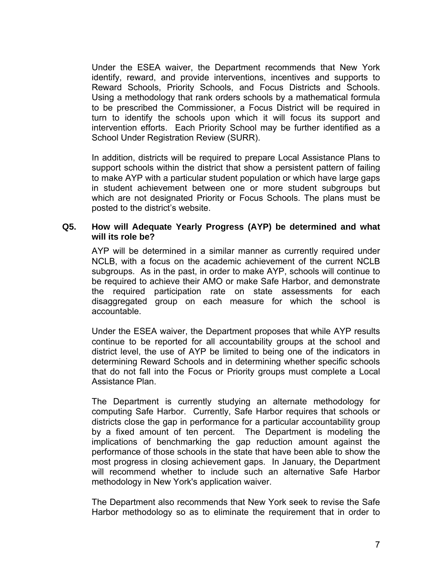Under the ESEA waiver, the Department recommends that New York identify, reward, and provide interventions, incentives and supports to Reward Schools, Priority Schools, and Focus Districts and Schools. Using a methodology that rank orders schools by a mathematical formula to be prescribed the Commissioner, a Focus District will be required in turn to identify the schools upon which it will focus its support and intervention efforts. Each Priority School may be further identified as a School Under Registration Review (SURR).

In addition, districts will be required to prepare Local Assistance Plans to support schools within the district that show a persistent pattern of failing to make AYP with a particular student population or which have large gaps in student achievement between one or more student subgroups but which are not designated Priority or Focus Schools. The plans must be posted to the district's website.

### **Q5. How will Adequate Yearly Progress (AYP) be determined and what will its role be?**

AYP will be determined in a similar manner as currently required under NCLB, with a focus on the academic achievement of the current NCLB subgroups. As in the past, in order to make AYP, schools will continue to be required to achieve their AMO or make Safe Harbor, and demonstrate the required participation rate on state assessments for each disaggregated group on each measure for which the school is accountable.

Under the ESEA waiver, the Department proposes that while AYP results continue to be reported for all accountability groups at the school and district level, the use of AYP be limited to being one of the indicators in determining Reward Schools and in determining whether specific schools that do not fall into the Focus or Priority groups must complete a Local Assistance Plan.

The Department is currently studying an alternate methodology for computing Safe Harbor. Currently, Safe Harbor requires that schools or districts close the gap in performance for a particular accountability group by a fixed amount of ten percent. The Department is modeling the implications of benchmarking the gap reduction amount against the performance of those schools in the state that have been able to show the most progress in closing achievement gaps. In January, the Department will recommend whether to include such an alternative Safe Harbor methodology in New York's application waiver.

The Department also recommends that New York seek to revise the Safe Harbor methodology so as to eliminate the requirement that in order to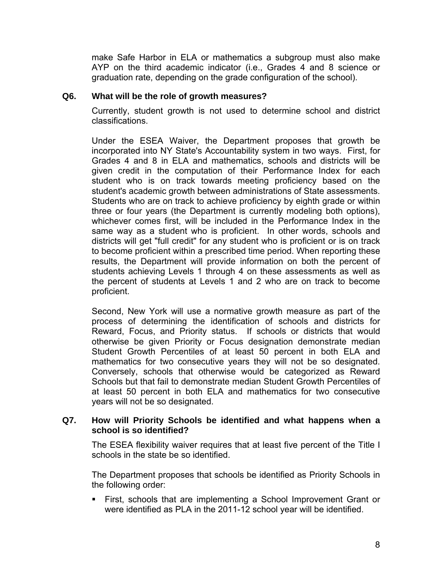make Safe Harbor in ELA or mathematics a subgroup must also make AYP on the third academic indicator (i.e., Grades 4 and 8 science or graduation rate, depending on the grade configuration of the school).

## **Q6. What will be the role of growth measures?**

Currently, student growth is not used to determine school and district classifications.

Under the ESEA Waiver, the Department proposes that growth be incorporated into NY State's Accountability system in two ways. First, for Grades 4 and 8 in ELA and mathematics, schools and districts will be given credit in the computation of their Performance Index for each student who is on track towards meeting proficiency based on the student's academic growth between administrations of State assessments. Students who are on track to achieve proficiency by eighth grade or within three or four years (the Department is currently modeling both options), whichever comes first, will be included in the Performance Index in the same way as a student who is proficient. In other words, schools and districts will get "full credit" for any student who is proficient or is on track to become proficient within a prescribed time period. When reporting these results, the Department will provide information on both the percent of students achieving Levels 1 through 4 on these assessments as well as the percent of students at Levels 1 and 2 who are on track to become proficient.

Second, New York will use a normative growth measure as part of the process of determining the identification of schools and districts for Reward, Focus, and Priority status. If schools or districts that would otherwise be given Priority or Focus designation demonstrate median Student Growth Percentiles of at least 50 percent in both ELA and mathematics for two consecutive years they will not be so designated. Conversely, schools that otherwise would be categorized as Reward Schools but that fail to demonstrate median Student Growth Percentiles of at least 50 percent in both ELA and mathematics for two consecutive years will not be so designated.

## **Q7. How will Priority Schools be identified and what happens when a school is so identified?**

The ESEA flexibility waiver requires that at least five percent of the Title I schools in the state be so identified.

The Department proposes that schools be identified as Priority Schools in the following order:

 First, schools that are implementing a School Improvement Grant or were identified as PLA in the 2011-12 school year will be identified.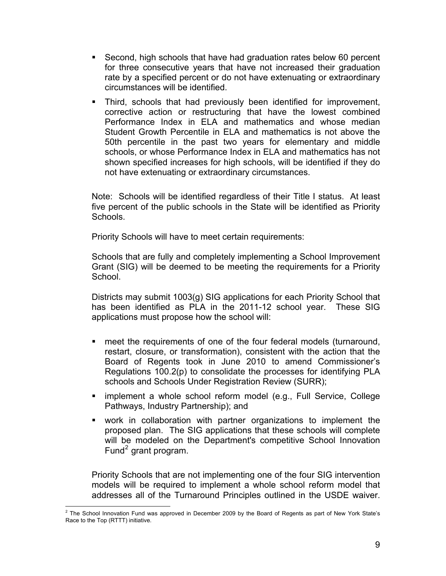- Second, high schools that have had graduation rates below 60 percent for three consecutive years that have not increased their graduation rate by a specified percent or do not have extenuating or extraordinary circumstances will be identified.
- Third, schools that had previously been identified for improvement, corrective action or restructuring that have the lowest combined Performance Index in ELA and mathematics and whose median Student Growth Percentile in ELA and mathematics is not above the 50th percentile in the past two years for elementary and middle schools, or whose Performance Index in ELA and mathematics has not shown specified increases for high schools, will be identified if they do not have extenuating or extraordinary circumstances.

Note: Schools will be identified regardless of their Title I status. At least five percent of the public schools in the State will be identified as Priority Schools.

Priority Schools will have to meet certain requirements:

Schools that are fully and completely implementing a School Improvement Grant (SIG) will be deemed to be meeting the requirements for a Priority School.

Districts may submit 1003(g) SIG applications for each Priority School that has been identified as PLA in the 2011-12 school year. These SIG applications must propose how the school will:

- meet the requirements of one of the four federal models (turnaround, restart, closure, or transformation), consistent with the action that the Board of Regents took in June 2010 to amend Commissioner's Regulations 100.2(p) to consolidate the processes for identifying PLA schools and Schools Under Registration Review (SURR);
- **EXECT** implement a whole school reform model (e.g., Full Service, College Pathways, Industry Partnership); and
- work in collaboration with partner organizations to implement the proposed plan. The SIG applications that these schools will complete will be modeled on the Department's competitive School Innovation Fund<sup>[2](#page-8-0)</sup> grant program.

Priority Schools that are not implementing one of the four SIG intervention models will be required to implement a whole school reform model that addresses all of the Turnaround Principles outlined in the USDE waiver.

<span id="page-8-0"></span> 2 The School Innovation Fund was approved in December 2009 by the Board of Regents as part of New York State's Race to the Top (RTTT) initiative.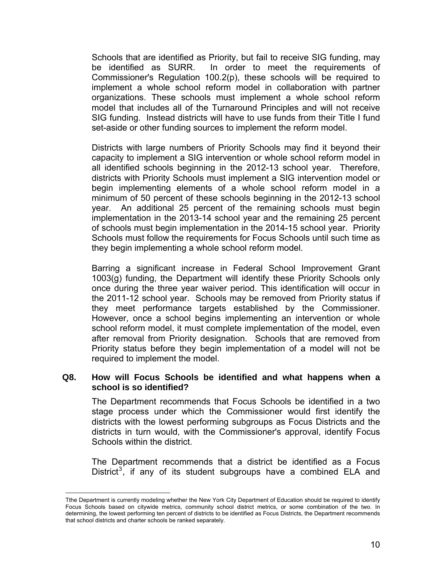Schools that are identified as Priority, but fail to receive SIG funding, may be identified as SURR. In order to meet the requirements of Commissioner's Regulation 100.2(p), these schools will be required to implement a whole school reform model in collaboration with partner organizations. These schools must implement a whole school reform model that includes all of the Turnaround Principles and will not receive SIG funding. Instead districts will have to use funds from their Title I fund set-aside or other funding sources to implement the reform model.

Districts with large numbers of Priority Schools may find it beyond their capacity to implement a SIG intervention or whole school reform model in all identified schools beginning in the 2012-13 school year. Therefore, districts with Priority Schools must implement a SIG intervention model or begin implementing elements of a whole school reform model in a minimum of 50 percent of these schools beginning in the 2012-13 school year. An additional 25 percent of the remaining schools must begin implementation in the 2013-14 school year and the remaining 25 percent of schools must begin implementation in the 2014-15 school year. Priority Schools must follow the requirements for Focus Schools until such time as they begin implementing a whole school reform model.

Barring a significant increase in Federal School Improvement Grant 1003(g) funding, the Department will identify these Priority Schools only once during the three year waiver period. This identification will occur in the 2011-12 school year. Schools may be removed from Priority status if they meet performance targets established by the Commissioner. However, once a school begins implementing an intervention or whole school reform model, it must complete implementation of the model, even after removal from Priority designation. Schools that are removed from Priority status before they begin implementation of a model will not be required to implement the model.

## **Q8. How will Focus Schools be identified and what happens when a school is so identified?**

The Department recommends that Focus Schools be identified in a two stage process under which the Commissioner would first identify the districts with the lowest performing subgroups as Focus Districts and the districts in turn would, with the Commissioner's approval, identify Focus Schools within the district.

The Department recommends that a district be identified as a Focus District<sup>[3](#page-9-0)</sup>, if any of its student subgroups have a combined ELA and

 $\overline{a}$ 

<span id="page-9-0"></span>Tthe Department is currently modeling whether the New York City Department of Education should be required to identify Focus Schools based on citywide metrics, community school district metrics, or some combination of the two. In determining, the lowest performing ten percent of districts to be identified as Focus Districts, the Department recommends that school districts and charter schools be ranked separately.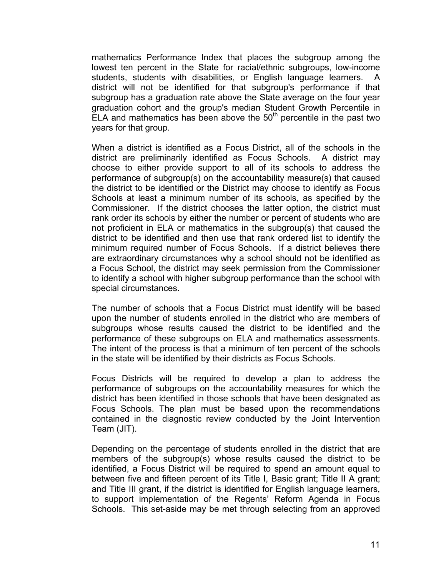mathematics Performance Index that places the subgroup among the lowest ten percent in the State for racial/ethnic subgroups, low-income students, students with disabilities, or English language learners. A district will not be identified for that subgroup's performance if that subgroup has a graduation rate above the State average on the four year graduation cohort and the group's median Student Growth Percentile in  $ELA$  and mathematics has been above the 50<sup>th</sup> percentile in the past two years for that group.

When a district is identified as a Focus District, all of the schools in the district are preliminarily identified as Focus Schools. A district may choose to either provide support to all of its schools to address the performance of subgroup(s) on the accountability measure(s) that caused the district to be identified or the District may choose to identify as Focus Schools at least a minimum number of its schools, as specified by the Commissioner. If the district chooses the latter option, the district must rank order its schools by either the number or percent of students who are not proficient in ELA or mathematics in the subgroup(s) that caused the district to be identified and then use that rank ordered list to identify the minimum required number of Focus Schools. If a district believes there are extraordinary circumstances why a school should not be identified as a Focus School, the district may seek permission from the Commissioner to identify a school with higher subgroup performance than the school with special circumstances.

The number of schools that a Focus District must identify will be based upon the number of students enrolled in the district who are members of subgroups whose results caused the district to be identified and the performance of these subgroups on ELA and mathematics assessments. The intent of the process is that a minimum of ten percent of the schools in the state will be identified by their districts as Focus Schools.

Focus Districts will be required to develop a plan to address the performance of subgroups on the accountability measures for which the district has been identified in those schools that have been designated as Focus Schools. The plan must be based upon the recommendations contained in the diagnostic review conducted by the Joint Intervention Team (JIT).

Depending on the percentage of students enrolled in the district that are members of the subgroup(s) whose results caused the district to be identified, a Focus District will be required to spend an amount equal to between five and fifteen percent of its Title I, Basic grant; Title II A grant; and Title III grant, if the district is identified for English language learners, to support implementation of the Regents' Reform Agenda in Focus Schools. This set-aside may be met through selecting from an approved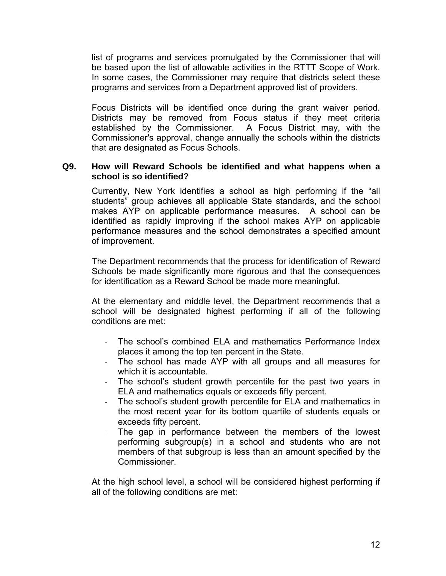list of programs and services promulgated by the Commissioner that will be based upon the list of allowable activities in the RTTT Scope of Work. In some cases, the Commissioner may require that districts select these programs and services from a Department approved list of providers.

Focus Districts will be identified once during the grant waiver period. Districts may be removed from Focus status if they meet criteria established by the Commissioner. A Focus District may, with the Commissioner's approval, change annually the schools within the districts that are designated as Focus Schools.

### **Q9. How will Reward Schools be identified and what happens when a school is so identified?**

Currently, New York identifies a school as high performing if the "all students" group achieves all applicable State standards, and the school makes AYP on applicable performance measures. A school can be identified as rapidly improving if the school makes AYP on applicable performance measures and the school demonstrates a specified amount of improvement.

The Department recommends that the process for identification of Reward Schools be made significantly more rigorous and that the consequences for identification as a Reward School be made more meaningful.

At the elementary and middle level, the Department recommends that a school will be designated highest performing if all of the following conditions are met:

- The school's combined ELA and mathematics Performance Index places it among the top ten percent in the State.
- The school has made AYP with all groups and all measures for which it is accountable.
- The school's student growth percentile for the past two years in ELA and mathematics equals or exceeds fifty percent.
- The school's student growth percentile for ELA and mathematics in the most recent year for its bottom quartile of students equals or exceeds fifty percent.
- The gap in performance between the members of the lowest performing subgroup(s) in a school and students who are not members of that subgroup is less than an amount specified by the **Commissioner**

At the high school level, a school will be considered highest performing if all of the following conditions are met: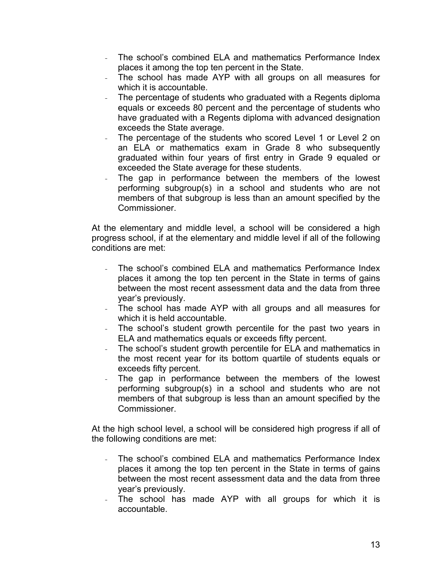- The school's combined ELA and mathematics Performance Index places it among the top ten percent in the State.
- The school has made AYP with all groups on all measures for which it is accountable.
- The percentage of students who graduated with a Regents diploma equals or exceeds 80 percent and the percentage of students who have graduated with a Regents diploma with advanced designation exceeds the State average.
- The percentage of the students who scored Level 1 or Level 2 on an ELA or mathematics exam in Grade 8 who subsequently graduated within four years of first entry in Grade 9 equaled or exceeded the State average for these students.
- The gap in performance between the members of the lowest performing subgroup(s) in a school and students who are not members of that subgroup is less than an amount specified by the Commissioner.

At the elementary and middle level, a school will be considered a high progress school, if at the elementary and middle level if all of the following conditions are met:

- The school's combined ELA and mathematics Performance Index places it among the top ten percent in the State in terms of gains between the most recent assessment data and the data from three year's previously.
- The school has made AYP with all groups and all measures for which it is held accountable.
- The school's student growth percentile for the past two years in ELA and mathematics equals or exceeds fifty percent.
- The school's student growth percentile for ELA and mathematics in the most recent year for its bottom quartile of students equals or exceeds fifty percent.
- The gap in performance between the members of the lowest performing subgroup(s) in a school and students who are not members of that subgroup is less than an amount specified by the Commissioner.

At the high school level, a school will be considered high progress if all of the following conditions are met:

- The school's combined ELA and mathematics Performance Index places it among the top ten percent in the State in terms of gains between the most recent assessment data and the data from three year's previously.
- The school has made AYP with all groups for which it is accountable.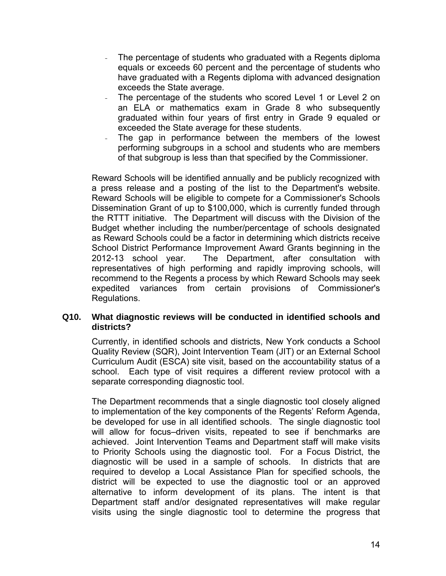- The percentage of students who graduated with a Regents diploma equals or exceeds 60 percent and the percentage of students who have graduated with a Regents diploma with advanced designation exceeds the State average.
- The percentage of the students who scored Level 1 or Level 2 on an ELA or mathematics exam in Grade 8 who subsequently graduated within four years of first entry in Grade 9 equaled or exceeded the State average for these students.
- The gap in performance between the members of the lowest performing subgroups in a school and students who are members of that subgroup is less than that specified by the Commissioner.

Reward Schools will be identified annually and be publicly recognized with a press release and a posting of the list to the Department's website. Reward Schools will be eligible to compete for a Commissioner's Schools Dissemination Grant of up to \$100,000, which is currently funded through the RTTT initiative. The Department will discuss with the Division of the Budget whether including the number/percentage of schools designated as Reward Schools could be a factor in determining which districts receive School District Performance Improvement Award Grants beginning in the 2012-13 school year. The Department, after consultation with representatives of high performing and rapidly improving schools, will recommend to the Regents a process by which Reward Schools may seek expedited variances from certain provisions of Commissioner's Regulations.

## **Q10. What diagnostic reviews will be conducted in identified schools and districts?**

Currently, in identified schools and districts, New York conducts a School Quality Review (SQR), Joint Intervention Team (JIT) or an External School Curriculum Audit (ESCA) site visit, based on the accountability status of a school. Each type of visit requires a different review protocol with a separate corresponding diagnostic tool.

The Department recommends that a single diagnostic tool closely aligned to implementation of the key components of the Regents' Reform Agenda, be developed for use in all identified schools. The single diagnostic tool will allow for focus–driven visits, repeated to see if benchmarks are achieved. Joint Intervention Teams and Department staff will make visits to Priority Schools using the diagnostic tool. For a Focus District, the diagnostic will be used in a sample of schools. In districts that are required to develop a Local Assistance Plan for specified schools, the district will be expected to use the diagnostic tool or an approved alternative to inform development of its plans. The intent is that Department staff and/or designated representatives will make regular visits using the single diagnostic tool to determine the progress that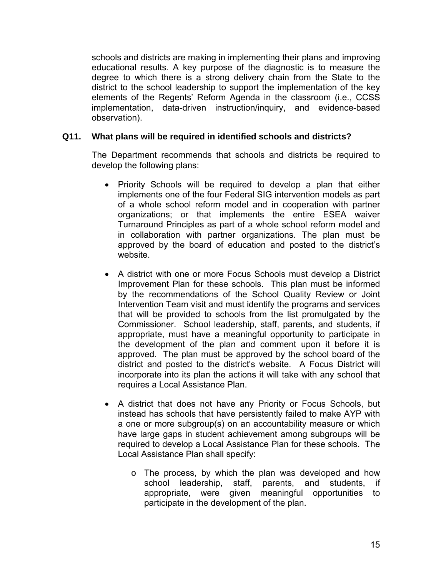schools and districts are making in implementing their plans and improving educational results. A key purpose of the diagnostic is to measure the degree to which there is a strong delivery chain from the State to the district to the school leadership to support the implementation of the key elements of the Regents' Reform Agenda in the classroom (i.e., CCSS implementation, data-driven instruction/inquiry, and evidence-based observation).

## **Q11. What plans will be required in identified schools and districts?**

The Department recommends that schools and districts be required to develop the following plans:

- Priority Schools will be required to develop a plan that either implements one of the four Federal SIG intervention models as part of a whole school reform model and in cooperation with partner organizations; or that implements the entire ESEA waiver Turnaround Principles as part of a whole school reform model and in collaboration with partner organizations. The plan must be approved by the board of education and posted to the district's website.
- A district with one or more Focus Schools must develop a District Improvement Plan for these schools. This plan must be informed by the recommendations of the School Quality Review or Joint Intervention Team visit and must identify the programs and services that will be provided to schools from the list promulgated by the Commissioner. School leadership, staff, parents, and students, if appropriate, must have a meaningful opportunity to participate in the development of the plan and comment upon it before it is approved. The plan must be approved by the school board of the district and posted to the district's website. A Focus District will incorporate into its plan the actions it will take with any school that requires a Local Assistance Plan.
- A district that does not have any Priority or Focus Schools, but instead has schools that have persistently failed to make AYP with a one or more subgroup(s) on an accountability measure or which have large gaps in student achievement among subgroups will be required to develop a Local Assistance Plan for these schools. The Local Assistance Plan shall specify:
	- o The process, by which the plan was developed and how school leadership, staff, parents, and students, if appropriate, were given meaningful opportunities to participate in the development of the plan.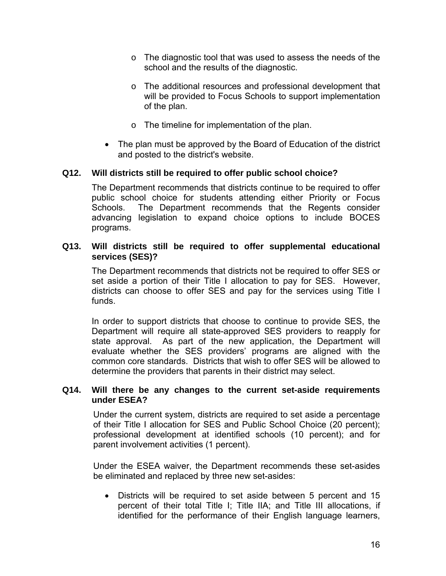- o The diagnostic tool that was used to assess the needs of the school and the results of the diagnostic.
- o The additional resources and professional development that will be provided to Focus Schools to support implementation of the plan.
- o The timeline for implementation of the plan.
- The plan must be approved by the Board of Education of the district and posted to the district's website.

## **Q12. Will districts still be required to offer public school choice?**

The Department recommends that districts continue to be required to offer public school choice for students attending either Priority or Focus Schools. The Department recommends that the Regents consider advancing legislation to expand choice options to include BOCES programs.

### **Q13. Will districts still be required to offer supplemental educational services (SES)?**

The Department recommends that districts not be required to offer SES or set aside a portion of their Title I allocation to pay for SES. However, districts can choose to offer SES and pay for the services using Title I funds.

In order to support districts that choose to continue to provide SES, the Department will require all state-approved SES providers to reapply for state approval. As part of the new application, the Department will evaluate whether the SES providers' programs are aligned with the common core standards. Districts that wish to offer SES will be allowed to determine the providers that parents in their district may select.

### **Q14. Will there be any changes to the current set-aside requirements under ESEA?**

Under the current system, districts are required to set aside a percentage of their Title I allocation for SES and Public School Choice (20 percent); professional development at identified schools (10 percent); and for parent involvement activities (1 percent).

Under the ESEA waiver, the Department recommends these set-asides be eliminated and replaced by three new set-asides:

 Districts will be required to set aside between 5 percent and 15 percent of their total Title I; Title IIA; and Title III allocations, if identified for the performance of their English language learners,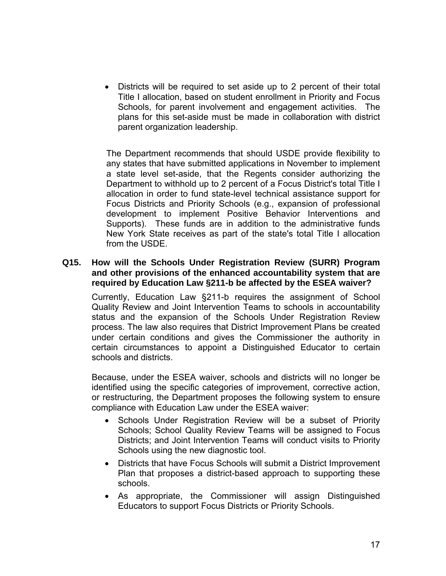Districts will be required to set aside up to 2 percent of their total Title I allocation, based on student enrollment in Priority and Focus Schools, for parent involvement and engagement activities. The plans for this set-aside must be made in collaboration with district parent organization leadership.

The Department recommends that should USDE provide flexibility to any states that have submitted applications in November to implement a state level set-aside, that the Regents consider authorizing the Department to withhold up to 2 percent of a Focus District's total Title I allocation in order to fund state-level technical assistance support for Focus Districts and Priority Schools (e.g., expansion of professional development to implement Positive Behavior Interventions and Supports). These funds are in addition to the administrative funds New York State receives as part of the state's total Title I allocation from the USDE.

## **Q15. How will the Schools Under Registration Review (SURR) Program and other provisions of the enhanced accountability system that are required by Education Law §211-b be affected by the ESEA waiver?**

Currently, Education Law §211-b requires the assignment of School Quality Review and Joint Intervention Teams to schools in accountability status and the expansion of the Schools Under Registration Review process. The law also requires that District Improvement Plans be created under certain conditions and gives the Commissioner the authority in certain circumstances to appoint a Distinguished Educator to certain schools and districts.

Because, under the ESEA waiver, schools and districts will no longer be identified using the specific categories of improvement, corrective action, or restructuring, the Department proposes the following system to ensure compliance with Education Law under the ESEA waiver:

- Schools Under Registration Review will be a subset of Priority Schools; School Quality Review Teams will be assigned to Focus Districts; and Joint Intervention Teams will conduct visits to Priority Schools using the new diagnostic tool.
- Districts that have Focus Schools will submit a District Improvement Plan that proposes a district-based approach to supporting these schools.
- As appropriate, the Commissioner will assign Distinguished Educators to support Focus Districts or Priority Schools.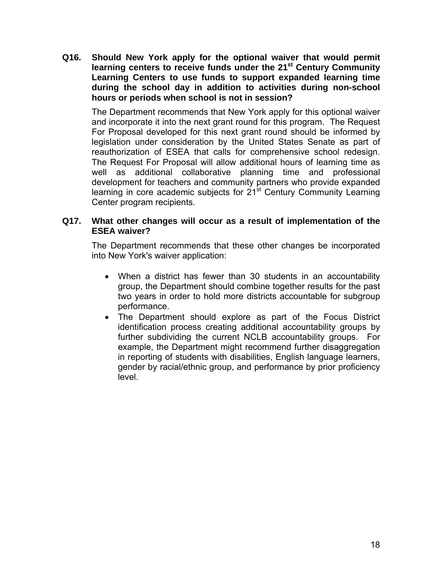**Q16. Should New York apply for the optional waiver that would permit**  learning centers to receive funds under the 21<sup>st</sup> Century Community **Learning Centers to use funds to support expanded learning time during the school day in addition to activities during non-school hours or periods when school is not in session?** 

The Department recommends that New York apply for this optional waiver and incorporate it into the next grant round for this program. The Request For Proposal developed for this next grant round should be informed by legislation under consideration by the United States Senate as part of reauthorization of ESEA that calls for comprehensive school redesign. The Request For Proposal will allow additional hours of learning time as well as additional collaborative planning time and professional development for teachers and community partners who provide expanded learning in core academic subjects for 21<sup>st</sup> Century Community Learning Center program recipients.

## **Q17. What other changes will occur as a result of implementation of the ESEA waiver?**

The Department recommends that these other changes be incorporated into New York's waiver application:

- When a district has fewer than 30 students in an accountability group, the Department should combine together results for the past two years in order to hold more districts accountable for subgroup performance.
- The Department should explore as part of the Focus District identification process creating additional accountability groups by further subdividing the current NCLB accountability groups. For example, the Department might recommend further disaggregation in reporting of students with disabilities, English language learners, gender by racial/ethnic group, and performance by prior proficiency level.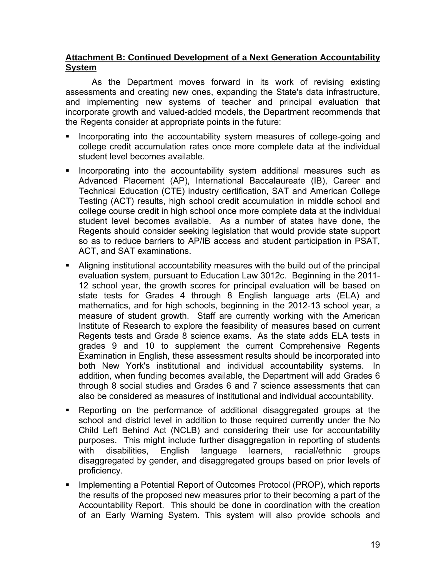# **Attachment B: Continued Development of a Next Generation Accountability System**

 As the Department moves forward in its work of revising existing assessments and creating new ones, expanding the State's data infrastructure, and implementing new systems of teacher and principal evaluation that incorporate growth and valued-added models, the Department recommends that the Regents consider at appropriate points in the future:

- Incorporating into the accountability system measures of college-going and college credit accumulation rates once more complete data at the individual student level becomes available.
- **Incorporating into the accountability system additional measures such as** Advanced Placement (AP), International Baccalaureate (IB), Career and Technical Education (CTE) industry certification, SAT and American College Testing (ACT) results, high school credit accumulation in middle school and college course credit in high school once more complete data at the individual student level becomes available. As a number of states have done, the Regents should consider seeking legislation that would provide state support so as to reduce barriers to AP/IB access and student participation in PSAT, ACT, and SAT examinations.
- Aligning institutional accountability measures with the build out of the principal evaluation system, pursuant to Education Law 3012c. Beginning in the 2011- 12 school year, the growth scores for principal evaluation will be based on state tests for Grades 4 through 8 English language arts (ELA) and mathematics, and for high schools, beginning in the 2012-13 school year, a measure of student growth. Staff are currently working with the American Institute of Research to explore the feasibility of measures based on current Regents tests and Grade 8 science exams. As the state adds ELA tests in grades 9 and 10 to supplement the current Comprehensive Regents Examination in English, these assessment results should be incorporated into both New York's institutional and individual accountability systems. In addition, when funding becomes available, the Department will add Grades 6 through 8 social studies and Grades 6 and 7 science assessments that can also be considered as measures of institutional and individual accountability.
- Reporting on the performance of additional disaggregated groups at the school and district level in addition to those required currently under the No Child Left Behind Act (NCLB) and considering their use for accountability purposes. This might include further disaggregation in reporting of students with disabilities, English language learners, racial/ethnic groups disaggregated by gender, and disaggregated groups based on prior levels of proficiency.
- **IMPLEMENTIFY IMPLEM** a Potential Report of Outcomes Protocol (PROP), which reports the results of the proposed new measures prior to their becoming a part of the Accountability Report. This should be done in coordination with the creation of an Early Warning System. This system will also provide schools and